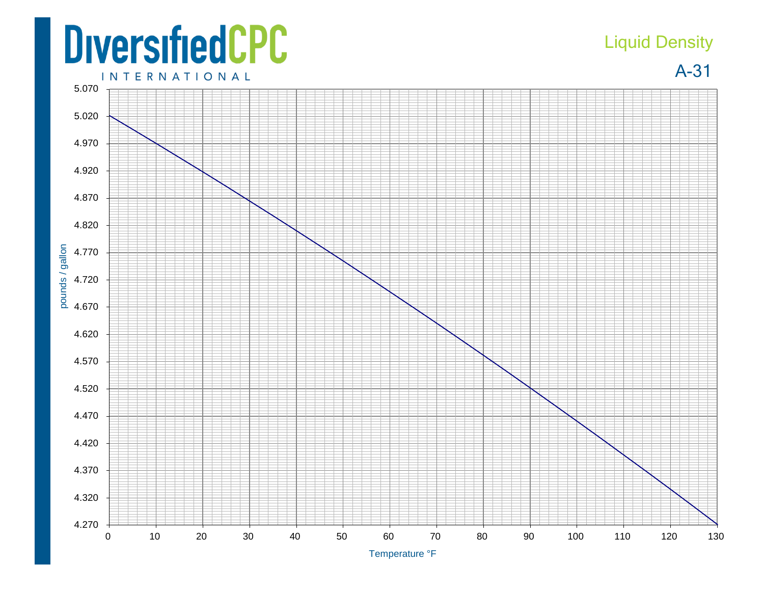## **DiversifiedCPC**

## Liquid Density

A-31